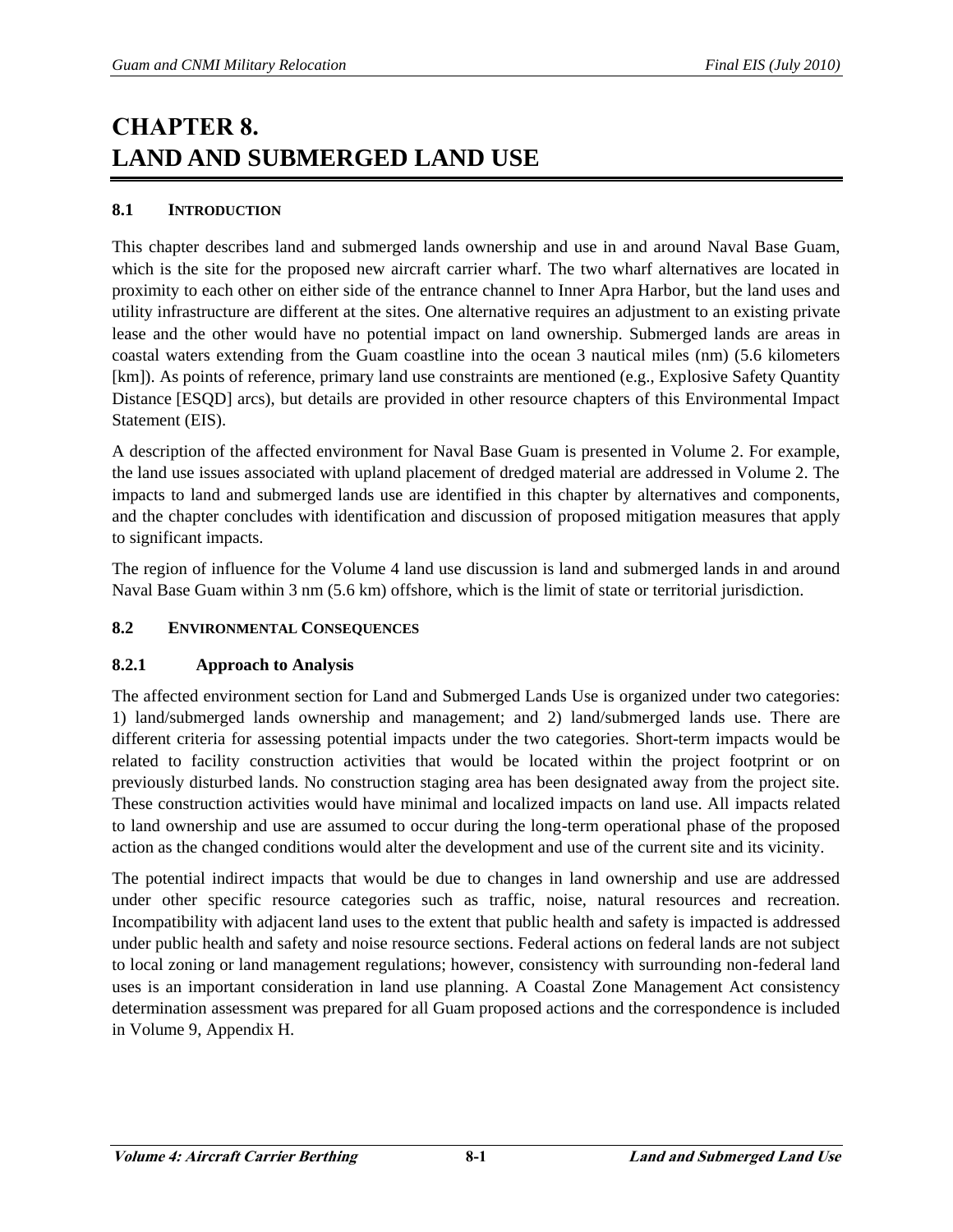# **CHAPTER 8. LAND AND SUBMERGED LAND USE**

# **8.1 INTRODUCTION**

This chapter describes land and submerged lands ownership and use in and around Naval Base Guam, which is the site for the proposed new aircraft carrier wharf. The two wharf alternatives are located in proximity to each other on either side of the entrance channel to Inner Apra Harbor, but the land uses and utility infrastructure are different at the sites. One alternative requires an adjustment to an existing private lease and the other would have no potential impact on land ownership. Submerged lands are areas in coastal waters extending from the Guam coastline into the ocean 3 nautical miles (nm) (5.6 kilometers [km]). As points of reference, primary land use constraints are mentioned (e.g., Explosive Safety Quantity Distance [ESQD] arcs), but details are provided in other resource chapters of this Environmental Impact Statement (EIS).

A description of the affected environment for Naval Base Guam is presented in Volume 2. For example, the land use issues associated with upland placement of dredged material are addressed in Volume 2. The impacts to land and submerged lands use are identified in this chapter by alternatives and components, and the chapter concludes with identification and discussion of proposed mitigation measures that apply to significant impacts.

The region of influence for the Volume 4 land use discussion is land and submerged lands in and around Naval Base Guam within 3 nm (5.6 km) offshore, which is the limit of state or territorial jurisdiction.

# **8.2 ENVIRONMENTAL CONSEQUENCES**

#### **8.2.1 Approach to Analysis**

The affected environment section for Land and Submerged Lands Use is organized under two categories: 1) land/submerged lands ownership and management; and 2) land/submerged lands use. There are different criteria for assessing potential impacts under the two categories. Short-term impacts would be related to facility construction activities that would be located within the project footprint or on previously disturbed lands. No construction staging area has been designated away from the project site. These construction activities would have minimal and localized impacts on land use. All impacts related to land ownership and use are assumed to occur during the long-term operational phase of the proposed action as the changed conditions would alter the development and use of the current site and its vicinity.

The potential indirect impacts that would be due to changes in land ownership and use are addressed under other specific resource categories such as traffic, noise, natural resources and recreation. Incompatibility with adjacent land uses to the extent that public health and safety is impacted is addressed under public health and safety and noise resource sections. Federal actions on federal lands are not subject to local zoning or land management regulations; however, consistency with surrounding non-federal land uses is an important consideration in land use planning. A Coastal Zone Management Act consistency determination assessment was prepared for all Guam proposed actions and the correspondence is included in Volume 9, Appendix H.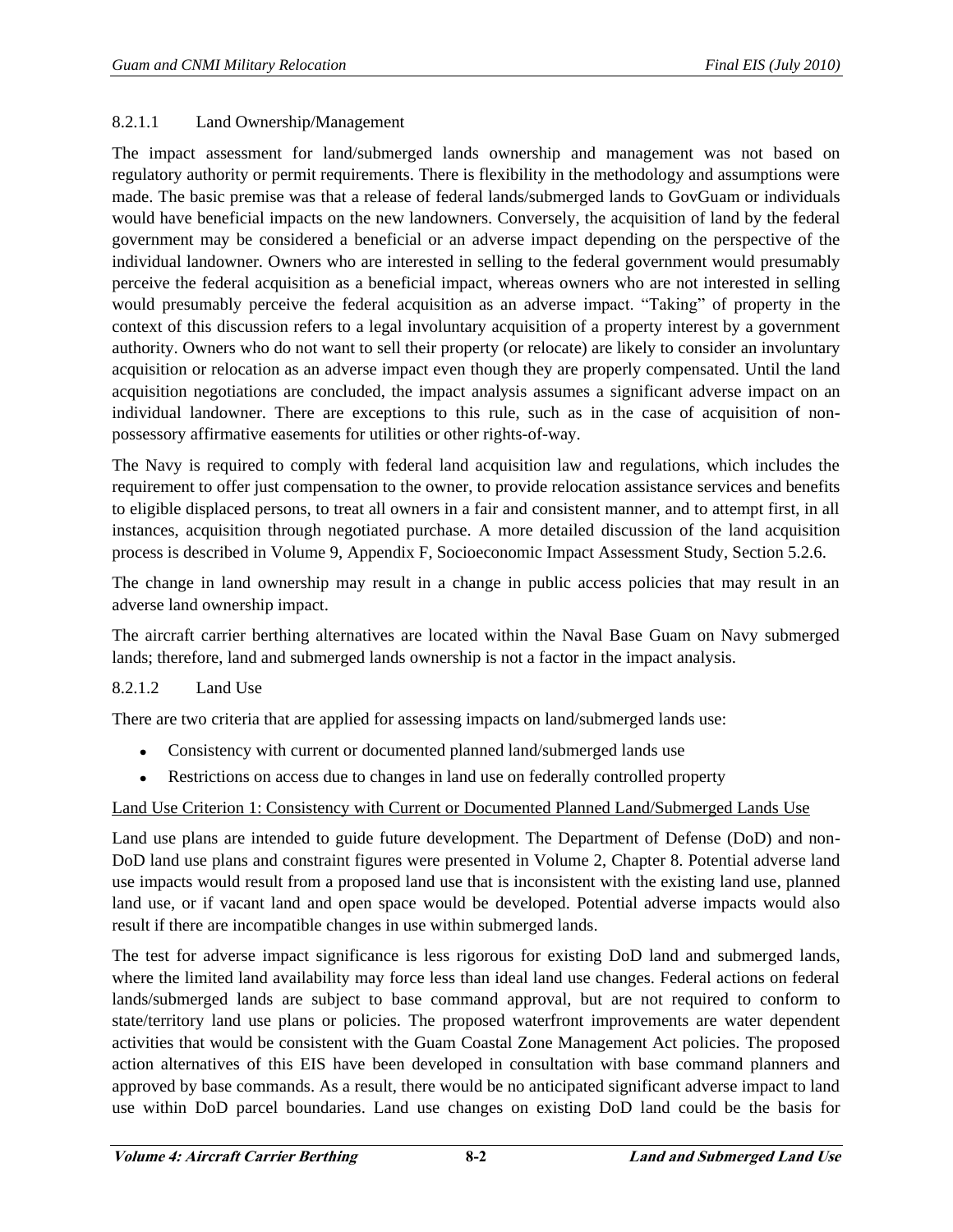#### 8.2.1.1 Land Ownership/Management

The impact assessment for land/submerged lands ownership and management was not based on regulatory authority or permit requirements. There is flexibility in the methodology and assumptions were made. The basic premise was that a release of federal lands/submerged lands to GovGuam or individuals would have beneficial impacts on the new landowners. Conversely, the acquisition of land by the federal government may be considered a beneficial or an adverse impact depending on the perspective of the individual landowner. Owners who are interested in selling to the federal government would presumably perceive the federal acquisition as a beneficial impact, whereas owners who are not interested in selling would presumably perceive the federal acquisition as an adverse impact. "Taking" of property in the context of this discussion refers to a legal involuntary acquisition of a property interest by a government authority. Owners who do not want to sell their property (or relocate) are likely to consider an involuntary acquisition or relocation as an adverse impact even though they are properly compensated. Until the land acquisition negotiations are concluded, the impact analysis assumes a significant adverse impact on an individual landowner. There are exceptions to this rule, such as in the case of acquisition of nonpossessory affirmative easements for utilities or other rights-of-way.

The Navy is required to comply with federal land acquisition law and regulations, which includes the requirement to offer just compensation to the owner, to provide relocation assistance services and benefits to eligible displaced persons, to treat all owners in a fair and consistent manner, and to attempt first, in all instances, acquisition through negotiated purchase. A more detailed discussion of the land acquisition process is described in Volume 9, Appendix F, Socioeconomic Impact Assessment Study, Section 5.2.6.

The change in land ownership may result in a change in public access policies that may result in an adverse land ownership impact.

The aircraft carrier berthing alternatives are located within the Naval Base Guam on Navy submerged lands; therefore, land and submerged lands ownership is not a factor in the impact analysis.

# 8.2.1.2 Land Use

There are two criteria that are applied for assessing impacts on land/submerged lands use:

- $\bullet$ Consistency with current or documented planned land/submerged lands use
- Restrictions on access due to changes in land use on federally controlled property

#### Land Use Criterion 1: Consistency with Current or Documented Planned Land/Submerged Lands Use

Land use plans are intended to guide future development. The Department of Defense (DoD) and non-DoD land use plans and constraint figures were presented in Volume 2, Chapter 8. Potential adverse land use impacts would result from a proposed land use that is inconsistent with the existing land use, planned land use, or if vacant land and open space would be developed. Potential adverse impacts would also result if there are incompatible changes in use within submerged lands.

The test for adverse impact significance is less rigorous for existing DoD land and submerged lands, where the limited land availability may force less than ideal land use changes. Federal actions on federal lands/submerged lands are subject to base command approval, but are not required to conform to state/territory land use plans or policies. The proposed waterfront improvements are water dependent activities that would be consistent with the Guam Coastal Zone Management Act policies. The proposed action alternatives of this EIS have been developed in consultation with base command planners and approved by base commands. As a result, there would be no anticipated significant adverse impact to land use within DoD parcel boundaries. Land use changes on existing DoD land could be the basis for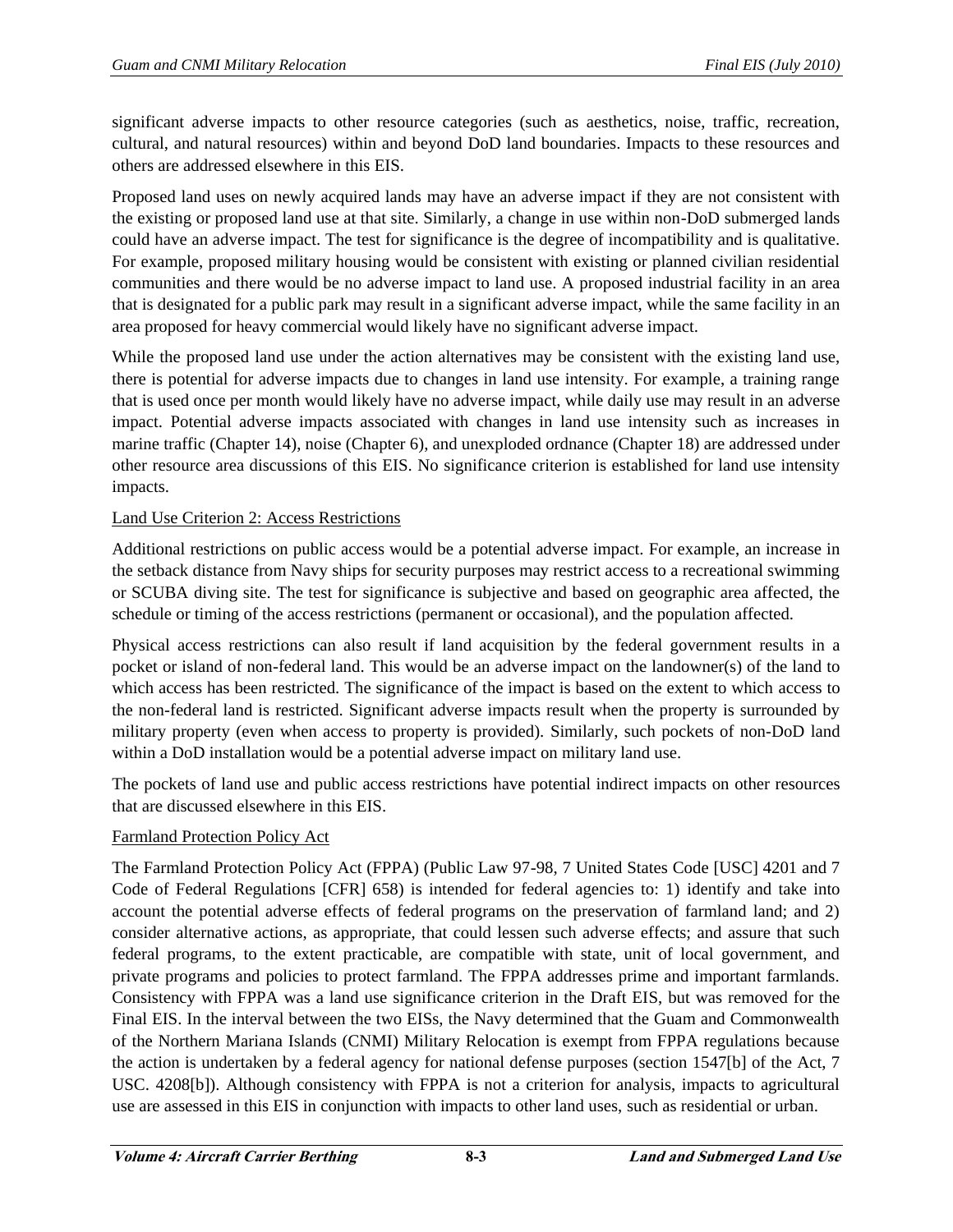significant adverse impacts to other resource categories (such as aesthetics, noise, traffic, recreation, cultural, and natural resources) within and beyond DoD land boundaries. Impacts to these resources and others are addressed elsewhere in this EIS.

Proposed land uses on newly acquired lands may have an adverse impact if they are not consistent with the existing or proposed land use at that site. Similarly, a change in use within non-DoD submerged lands could have an adverse impact. The test for significance is the degree of incompatibility and is qualitative. For example, proposed military housing would be consistent with existing or planned civilian residential communities and there would be no adverse impact to land use. A proposed industrial facility in an area that is designated for a public park may result in a significant adverse impact, while the same facility in an area proposed for heavy commercial would likely have no significant adverse impact.

While the proposed land use under the action alternatives may be consistent with the existing land use, there is potential for adverse impacts due to changes in land use intensity. For example, a training range that is used once per month would likely have no adverse impact, while daily use may result in an adverse impact. Potential adverse impacts associated with changes in land use intensity such as increases in marine traffic (Chapter 14), noise (Chapter 6), and unexploded ordnance (Chapter 18) are addressed under other resource area discussions of this EIS. No significance criterion is established for land use intensity impacts.

# Land Use Criterion 2: Access Restrictions

Additional restrictions on public access would be a potential adverse impact. For example, an increase in the setback distance from Navy ships for security purposes may restrict access to a recreational swimming or SCUBA diving site. The test for significance is subjective and based on geographic area affected, the schedule or timing of the access restrictions (permanent or occasional), and the population affected.

Physical access restrictions can also result if land acquisition by the federal government results in a pocket or island of non-federal land. This would be an adverse impact on the landowner(s) of the land to which access has been restricted. The significance of the impact is based on the extent to which access to the non-federal land is restricted. Significant adverse impacts result when the property is surrounded by military property (even when access to property is provided). Similarly, such pockets of non-DoD land within a DoD installation would be a potential adverse impact on military land use.

The pockets of land use and public access restrictions have potential indirect impacts on other resources that are discussed elsewhere in this EIS.

# Farmland Protection Policy Act

The Farmland Protection Policy Act (FPPA) (Public Law 97-98, 7 United States Code [USC] 4201 and 7 Code of Federal Regulations [CFR] 658) is intended for federal agencies to: 1) identify and take into account the potential adverse effects of federal programs on the preservation of farmland land; and 2) consider alternative actions, as appropriate, that could lessen such adverse effects; and assure that such federal programs, to the extent practicable, are compatible with state, unit of local government, and private programs and policies to protect farmland. The FPPA addresses prime and important farmlands. Consistency with FPPA was a land use significance criterion in the Draft EIS, but was removed for the Final EIS. In the interval between the two EISs, the Navy determined that the Guam and Commonwealth of the Northern Mariana Islands (CNMI) Military Relocation is exempt from FPPA regulations because the action is undertaken by a federal agency for national defense purposes (section 1547[b] of the Act, 7 USC. 4208[b]). Although consistency with FPPA is not a criterion for analysis, impacts to agricultural use are assessed in this EIS in conjunction with impacts to other land uses, such as residential or urban.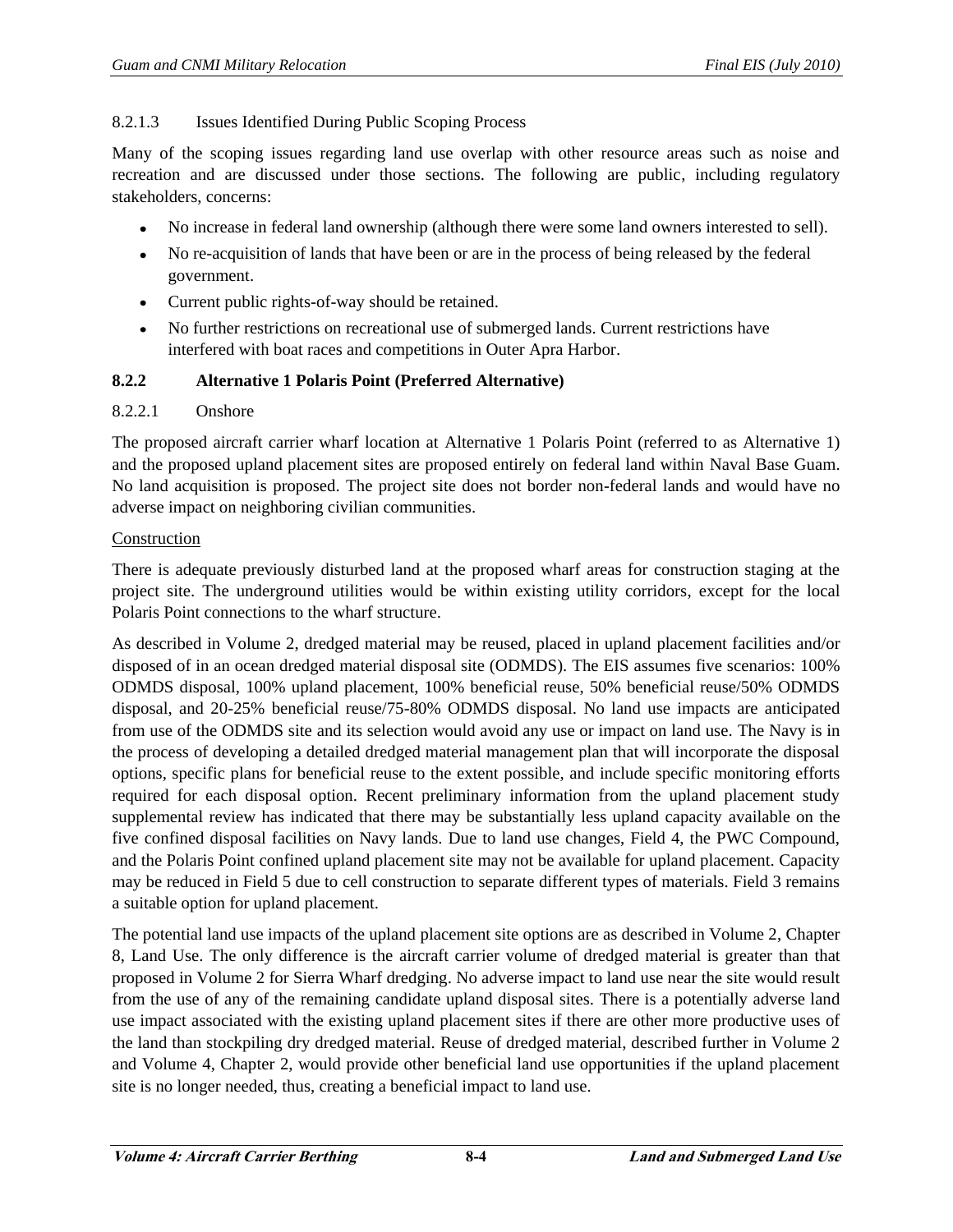## 8.2.1.3 Issues Identified During Public Scoping Process

Many of the scoping issues regarding land use overlap with other resource areas such as noise and recreation and are discussed under those sections. The following are public, including regulatory stakeholders, concerns:

- $\bullet$ No increase in federal land ownership (although there were some land owners interested to sell).
- No re-acquisition of lands that have been or are in the process of being released by the federal  $\bullet$ government.
- Current public rights-of-way should be retained.
- No further restrictions on recreational use of submerged lands. Current restrictions have interfered with boat races and competitions in Outer Apra Harbor.

## **8.2.2 Alternative 1 Polaris Point (Preferred Alternative)**

#### 8.2.2.1 Onshore

The proposed aircraft carrier wharf location at Alternative 1 Polaris Point (referred to as Alternative 1) and the proposed upland placement sites are proposed entirely on federal land within Naval Base Guam. No land acquisition is proposed. The project site does not border non-federal lands and would have no adverse impact on neighboring civilian communities.

#### Construction

There is adequate previously disturbed land at the proposed wharf areas for construction staging at the project site. The underground utilities would be within existing utility corridors, except for the local Polaris Point connections to the wharf structure.

As described in Volume 2, dredged material may be reused, placed in upland placement facilities and/or disposed of in an ocean dredged material disposal site (ODMDS). The EIS assumes five scenarios: 100% ODMDS disposal, 100% upland placement, 100% beneficial reuse, 50% beneficial reuse/50% ODMDS disposal, and 20-25% beneficial reuse/75-80% ODMDS disposal. No land use impacts are anticipated from use of the ODMDS site and its selection would avoid any use or impact on land use. The Navy is in the process of developing a detailed dredged material management plan that will incorporate the disposal options, specific plans for beneficial reuse to the extent possible, and include specific monitoring efforts required for each disposal option. Recent preliminary information from the upland placement study supplemental review has indicated that there may be substantially less upland capacity available on the five confined disposal facilities on Navy lands. Due to land use changes, Field 4, the PWC Compound, and the Polaris Point confined upland placement site may not be available for upland placement. Capacity may be reduced in Field 5 due to cell construction to separate different types of materials. Field 3 remains a suitable option for upland placement.

The potential land use impacts of the upland placement site options are as described in Volume 2, Chapter 8, Land Use. The only difference is the aircraft carrier volume of dredged material is greater than that proposed in Volume 2 for Sierra Wharf dredging. No adverse impact to land use near the site would result from the use of any of the remaining candidate upland disposal sites. There is a potentially adverse land use impact associated with the existing upland placement sites if there are other more productive uses of the land than stockpiling dry dredged material. Reuse of dredged material, described further in Volume 2 and Volume 4, Chapter 2, would provide other beneficial land use opportunities if the upland placement site is no longer needed, thus, creating a beneficial impact to land use.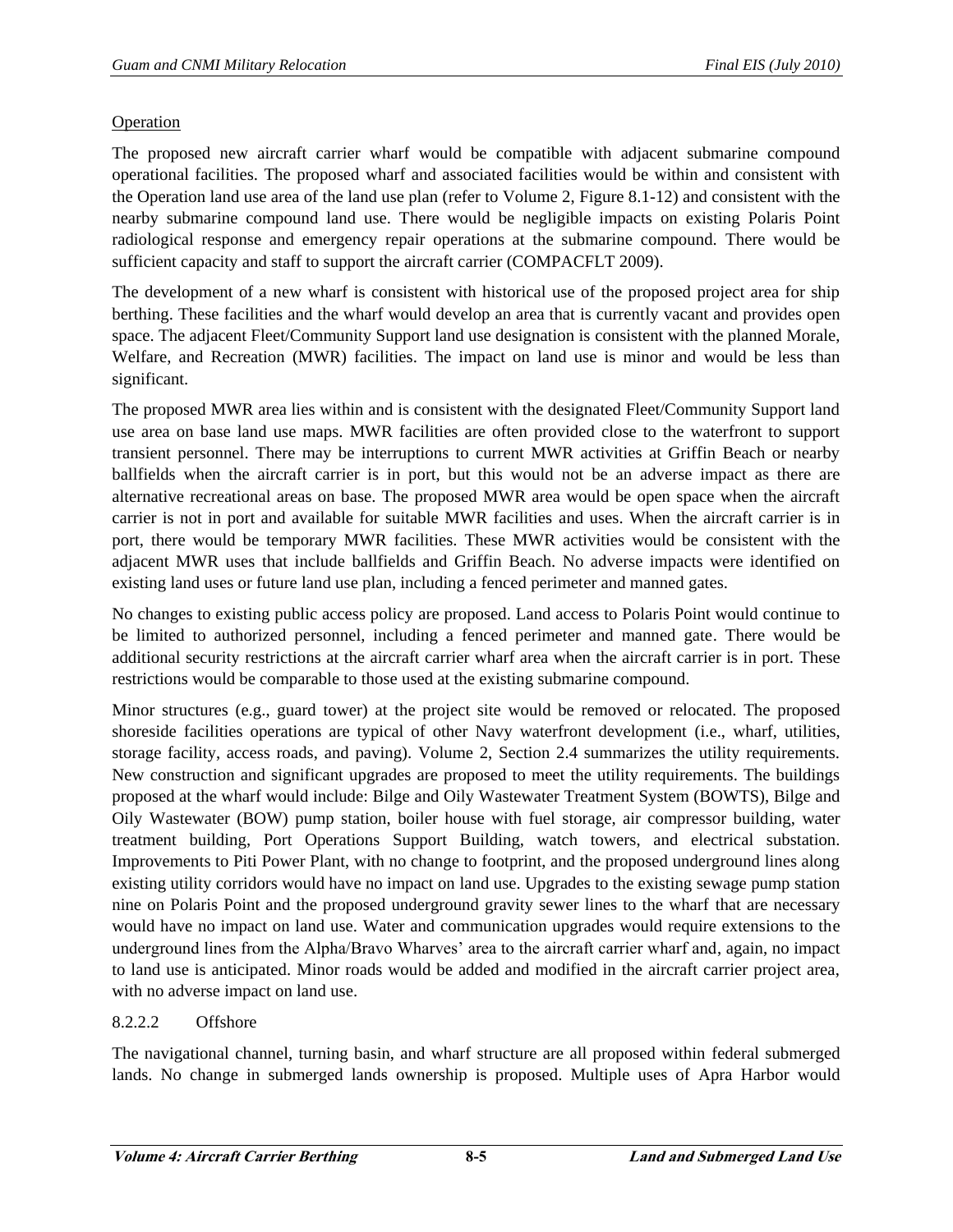## Operation

The proposed new aircraft carrier wharf would be compatible with adjacent submarine compound operational facilities. The proposed wharf and associated facilities would be within and consistent with the Operation land use area of the land use plan (refer to Volume 2, Figure 8.1-12) and consistent with the nearby submarine compound land use. There would be negligible impacts on existing Polaris Point radiological response and emergency repair operations at the submarine compound. There would be sufficient capacity and staff to support the aircraft carrier (COMPACFLT 2009).

The development of a new wharf is consistent with historical use of the proposed project area for ship berthing. These facilities and the wharf would develop an area that is currently vacant and provides open space. The adjacent Fleet/Community Support land use designation is consistent with the planned Morale, Welfare, and Recreation (MWR) facilities. The impact on land use is minor and would be less than significant.

The proposed MWR area lies within and is consistent with the designated Fleet/Community Support land use area on base land use maps. MWR facilities are often provided close to the waterfront to support transient personnel. There may be interruptions to current MWR activities at Griffin Beach or nearby ballfields when the aircraft carrier is in port, but this would not be an adverse impact as there are alternative recreational areas on base. The proposed MWR area would be open space when the aircraft carrier is not in port and available for suitable MWR facilities and uses. When the aircraft carrier is in port, there would be temporary MWR facilities. These MWR activities would be consistent with the adjacent MWR uses that include ballfields and Griffin Beach. No adverse impacts were identified on existing land uses or future land use plan, including a fenced perimeter and manned gates.

No changes to existing public access policy are proposed. Land access to Polaris Point would continue to be limited to authorized personnel, including a fenced perimeter and manned gate. There would be additional security restrictions at the aircraft carrier wharf area when the aircraft carrier is in port. These restrictions would be comparable to those used at the existing submarine compound.

Minor structures (e.g., guard tower) at the project site would be removed or relocated. The proposed shoreside facilities operations are typical of other Navy waterfront development (i.e., wharf, utilities, storage facility, access roads, and paving). Volume 2, Section 2.4 summarizes the utility requirements. New construction and significant upgrades are proposed to meet the utility requirements. The buildings proposed at the wharf would include: Bilge and Oily Wastewater Treatment System (BOWTS), Bilge and Oily Wastewater (BOW) pump station, boiler house with fuel storage, air compressor building, water treatment building, Port Operations Support Building, watch towers, and electrical substation. Improvements to Piti Power Plant, with no change to footprint, and the proposed underground lines along existing utility corridors would have no impact on land use. Upgrades to the existing sewage pump station nine on Polaris Point and the proposed underground gravity sewer lines to the wharf that are necessary would have no impact on land use. Water and communication upgrades would require extensions to the underground lines from the Alpha/Bravo Wharves' area to the aircraft carrier wharf and, again, no impact to land use is anticipated. Minor roads would be added and modified in the aircraft carrier project area, with no adverse impact on land use.

# 8.2.2.2 Offshore

The navigational channel, turning basin, and wharf structure are all proposed within federal submerged lands. No change in submerged lands ownership is proposed. Multiple uses of Apra Harbor would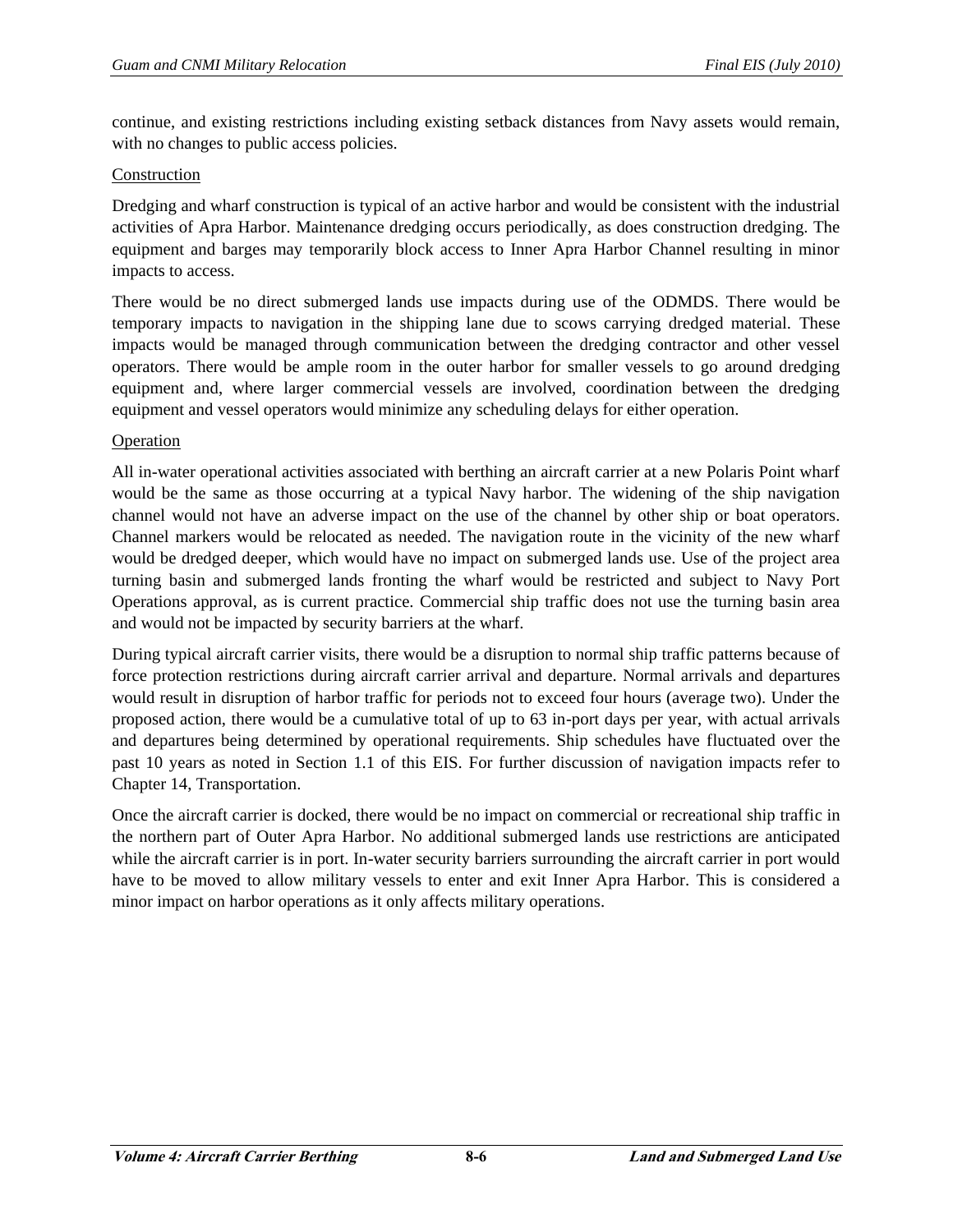continue, and existing restrictions including existing setback distances from Navy assets would remain, with no changes to public access policies.

#### Construction

Dredging and wharf construction is typical of an active harbor and would be consistent with the industrial activities of Apra Harbor. Maintenance dredging occurs periodically, as does construction dredging. The equipment and barges may temporarily block access to Inner Apra Harbor Channel resulting in minor impacts to access.

There would be no direct submerged lands use impacts during use of the ODMDS. There would be temporary impacts to navigation in the shipping lane due to scows carrying dredged material. These impacts would be managed through communication between the dredging contractor and other vessel operators. There would be ample room in the outer harbor for smaller vessels to go around dredging equipment and, where larger commercial vessels are involved, coordination between the dredging equipment and vessel operators would minimize any scheduling delays for either operation.

## Operation

All in-water operational activities associated with berthing an aircraft carrier at a new Polaris Point wharf would be the same as those occurring at a typical Navy harbor. The widening of the ship navigation channel would not have an adverse impact on the use of the channel by other ship or boat operators. Channel markers would be relocated as needed. The navigation route in the vicinity of the new wharf would be dredged deeper, which would have no impact on submerged lands use. Use of the project area turning basin and submerged lands fronting the wharf would be restricted and subject to Navy Port Operations approval, as is current practice. Commercial ship traffic does not use the turning basin area and would not be impacted by security barriers at the wharf.

During typical aircraft carrier visits, there would be a disruption to normal ship traffic patterns because of force protection restrictions during aircraft carrier arrival and departure. Normal arrivals and departures would result in disruption of harbor traffic for periods not to exceed four hours (average two). Under the proposed action, there would be a cumulative total of up to 63 in-port days per year, with actual arrivals and departures being determined by operational requirements. Ship schedules have fluctuated over the past 10 years as noted in Section 1.1 of this EIS. For further discussion of navigation impacts refer to Chapter 14, Transportation.

Once the aircraft carrier is docked, there would be no impact on commercial or recreational ship traffic in the northern part of Outer Apra Harbor. No additional submerged lands use restrictions are anticipated while the aircraft carrier is in port. In-water security barriers surrounding the aircraft carrier in port would have to be moved to allow military vessels to enter and exit Inner Apra Harbor. This is considered a minor impact on harbor operations as it only affects military operations.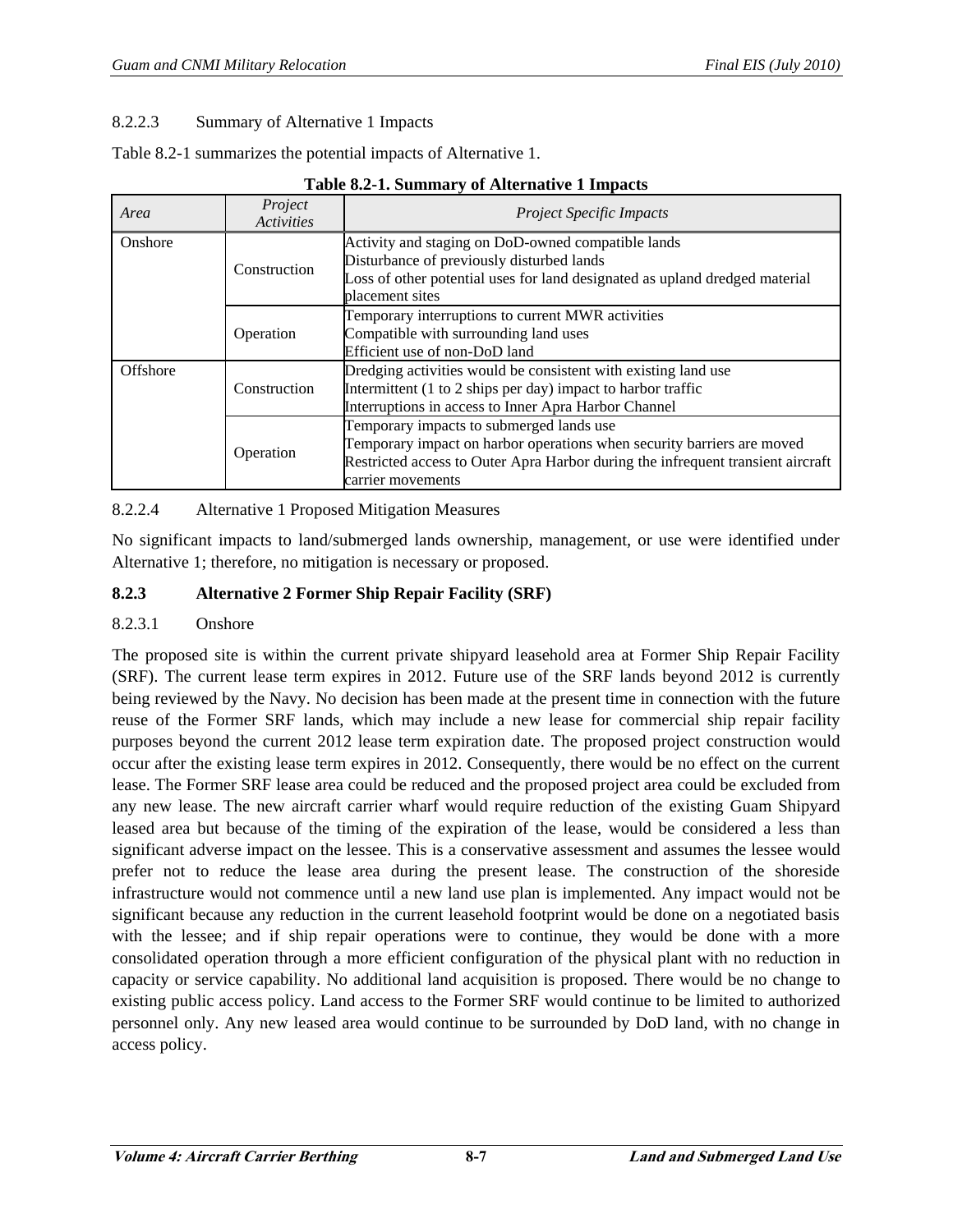## 8.2.2.3 Summary of Alternative 1 Impacts

Table 8.2-1 summarizes the potential impacts of Alternative 1.

| Area     | Project<br><b>Activities</b> | <i>Project Specific Impacts</i>                                                                                                                                                                                            |
|----------|------------------------------|----------------------------------------------------------------------------------------------------------------------------------------------------------------------------------------------------------------------------|
| Onshore  | Construction                 | Activity and staging on DoD-owned compatible lands<br>Disturbance of previously disturbed lands<br>Loss of other potential uses for land designated as upland dredged material<br>placement sites                          |
|          | Operation                    | Temporary interruptions to current MWR activities<br>Compatible with surrounding land uses<br>Efficient use of non-DoD land                                                                                                |
| Offshore | Construction                 | Dredging activities would be consistent with existing land use<br>Intermittent (1 to 2 ships per day) impact to harbor traffic<br>Interruptions in access to Inner Apra Harbor Channel                                     |
|          | Operation                    | Temporary impacts to submerged lands use<br>Temporary impact on harbor operations when security barriers are moved<br>Restricted access to Outer Apra Harbor during the infrequent transient aircraft<br>carrier movements |

**Table 8.2-1. Summary of Alternative 1 Impacts** 

## 8.2.2.4 Alternative 1 Proposed Mitigation Measures

No significant impacts to land/submerged lands ownership, management, or use were identified under Alternative 1; therefore, no mitigation is necessary or proposed.

## **8.2.3 Alternative 2 Former Ship Repair Facility (SRF)**

#### 8.2.3.1 Onshore

The proposed site is within the current private shipyard leasehold area at Former Ship Repair Facility (SRF). The current lease term expires in 2012. Future use of the SRF lands beyond 2012 is currently being reviewed by the Navy. No decision has been made at the present time in connection with the future reuse of the Former SRF lands, which may include a new lease for commercial ship repair facility purposes beyond the current 2012 lease term expiration date. The proposed project construction would occur after the existing lease term expires in 2012. Consequently, there would be no effect on the current lease. The Former SRF lease area could be reduced and the proposed project area could be excluded from any new lease. The new aircraft carrier wharf would require reduction of the existing Guam Shipyard leased area but because of the timing of the expiration of the lease, would be considered a less than significant adverse impact on the lessee. This is a conservative assessment and assumes the lessee would prefer not to reduce the lease area during the present lease. The construction of the shoreside infrastructure would not commence until a new land use plan is implemented. Any impact would not be significant because any reduction in the current leasehold footprint would be done on a negotiated basis with the lessee; and if ship repair operations were to continue, they would be done with a more consolidated operation through a more efficient configuration of the physical plant with no reduction in capacity or service capability. No additional land acquisition is proposed. There would be no change to existing public access policy. Land access to the Former SRF would continue to be limited to authorized personnel only. Any new leased area would continue to be surrounded by DoD land, with no change in access policy.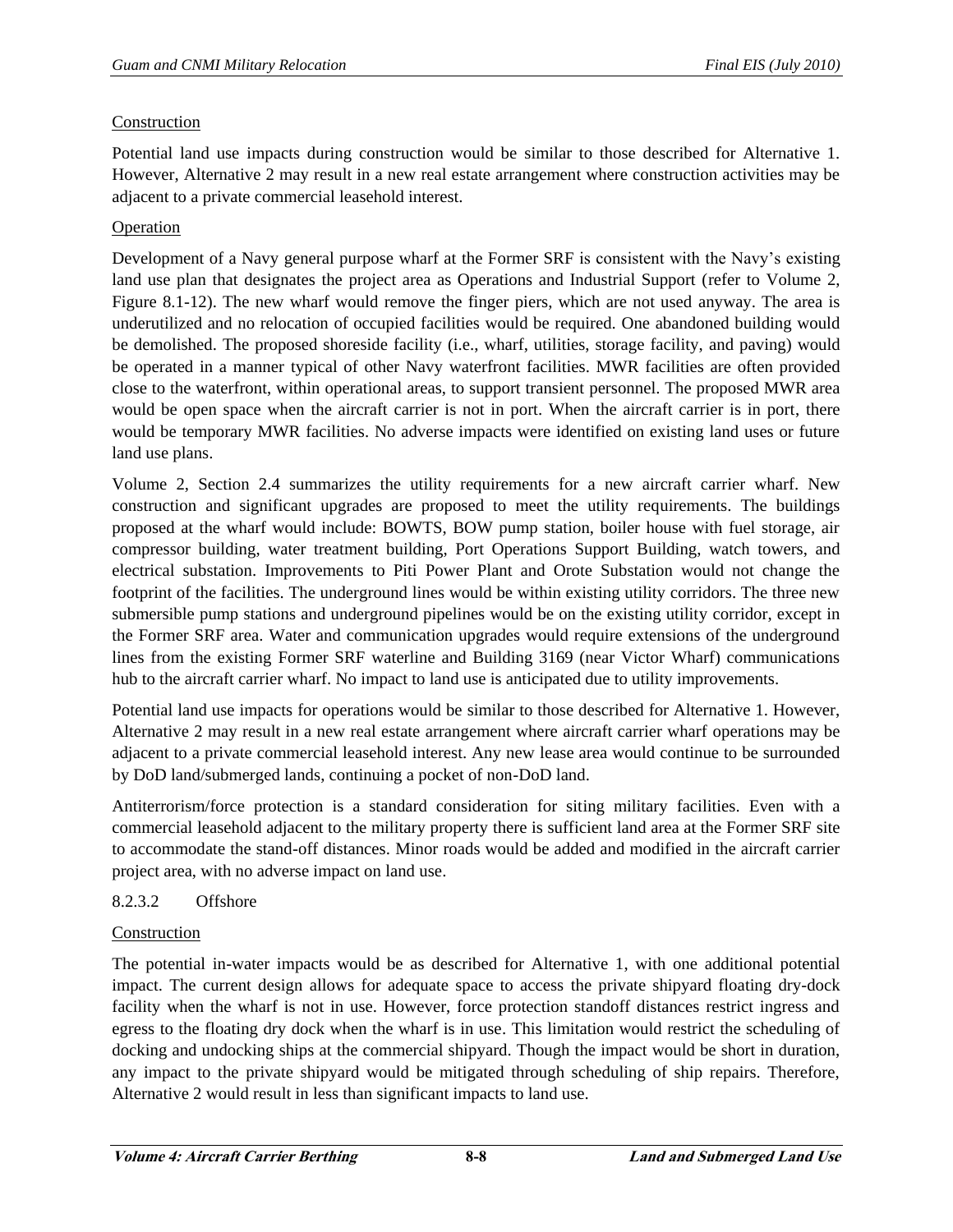## Construction

Potential land use impacts during construction would be similar to those described for Alternative 1. However, Alternative 2 may result in a new real estate arrangement where construction activities may be adjacent to a private commercial leasehold interest.

## **Operation**

Development of a Navy general purpose wharf at the Former SRF is consistent with the Navy's existing land use plan that designates the project area as Operations and Industrial Support (refer to Volume 2, Figure 8.1-12). The new wharf would remove the finger piers, which are not used anyway. The area is underutilized and no relocation of occupied facilities would be required. One abandoned building would be demolished. The proposed shoreside facility (i.e., wharf, utilities, storage facility, and paving) would be operated in a manner typical of other Navy waterfront facilities. MWR facilities are often provided close to the waterfront, within operational areas, to support transient personnel. The proposed MWR area would be open space when the aircraft carrier is not in port. When the aircraft carrier is in port, there would be temporary MWR facilities. No adverse impacts were identified on existing land uses or future land use plans.

Volume 2, Section 2.4 summarizes the utility requirements for a new aircraft carrier wharf. New construction and significant upgrades are proposed to meet the utility requirements. The buildings proposed at the wharf would include: BOWTS, BOW pump station, boiler house with fuel storage, air compressor building, water treatment building, Port Operations Support Building, watch towers, and electrical substation. Improvements to Piti Power Plant and Orote Substation would not change the footprint of the facilities. The underground lines would be within existing utility corridors. The three new submersible pump stations and underground pipelines would be on the existing utility corridor, except in the Former SRF area. Water and communication upgrades would require extensions of the underground lines from the existing Former SRF waterline and Building 3169 (near Victor Wharf) communications hub to the aircraft carrier wharf. No impact to land use is anticipated due to utility improvements.

Potential land use impacts for operations would be similar to those described for Alternative 1. However, Alternative 2 may result in a new real estate arrangement where aircraft carrier wharf operations may be adjacent to a private commercial leasehold interest. Any new lease area would continue to be surrounded by DoD land/submerged lands, continuing a pocket of non-DoD land.

Antiterrorism/force protection is a standard consideration for siting military facilities. Even with a commercial leasehold adjacent to the military property there is sufficient land area at the Former SRF site to accommodate the stand-off distances. Minor roads would be added and modified in the aircraft carrier project area, with no adverse impact on land use.

# 8.2.3.2 Offshore

#### Construction

The potential in-water impacts would be as described for Alternative 1, with one additional potential impact. The current design allows for adequate space to access the private shipyard floating dry-dock facility when the wharf is not in use. However, force protection standoff distances restrict ingress and egress to the floating dry dock when the wharf is in use. This limitation would restrict the scheduling of docking and undocking ships at the commercial shipyard. Though the impact would be short in duration, any impact to the private shipyard would be mitigated through scheduling of ship repairs. Therefore, Alternative 2 would result in less than significant impacts to land use.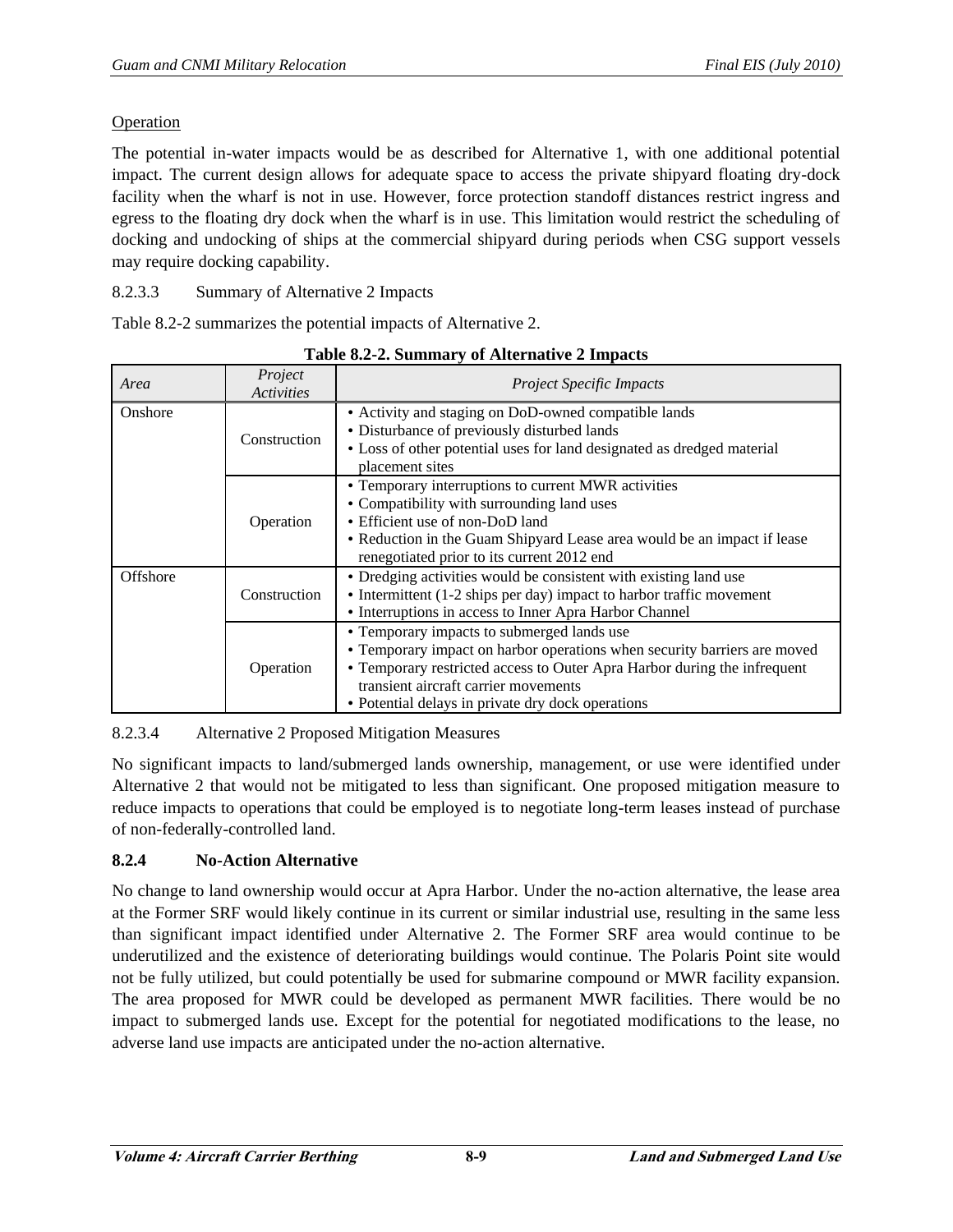## Operation

The potential in-water impacts would be as described for Alternative 1, with one additional potential impact. The current design allows for adequate space to access the private shipyard floating dry-dock facility when the wharf is not in use. However, force protection standoff distances restrict ingress and egress to the floating dry dock when the wharf is in use. This limitation would restrict the scheduling of docking and undocking of ships at the commercial shipyard during periods when CSG support vessels may require docking capability.

8.2.3.3 Summary of Alternative 2 Impacts

Table 8.2-2 summarizes the potential impacts of Alternative 2.

| Area     | Project<br><b>Activities</b> | <b>Project Specific Impacts</b>                                                                                                                                                                                                                                                                 |
|----------|------------------------------|-------------------------------------------------------------------------------------------------------------------------------------------------------------------------------------------------------------------------------------------------------------------------------------------------|
| Onshore  | Construction                 | • Activity and staging on DoD-owned compatible lands<br>• Disturbance of previously disturbed lands<br>• Loss of other potential uses for land designated as dredged material                                                                                                                   |
|          |                              | placement sites                                                                                                                                                                                                                                                                                 |
|          | Operation                    | • Temporary interruptions to current MWR activities<br>• Compatibility with surrounding land uses<br>• Efficient use of non-DoD land<br>• Reduction in the Guam Shipyard Lease area would be an impact if lease<br>renegotiated prior to its current 2012 end                                   |
| Offshore | Construction                 | • Dredging activities would be consistent with existing land use<br>• Intermittent (1-2 ships per day) impact to harbor traffic movement<br>• Interruptions in access to Inner Apra Harbor Channel                                                                                              |
|          | Operation                    | • Temporary impacts to submerged lands use<br>• Temporary impact on harbor operations when security barriers are moved<br>• Temporary restricted access to Outer Apra Harbor during the infrequent<br>transient aircraft carrier movements<br>• Potential delays in private dry dock operations |

**Table 8.2-2. Summary of Alternative 2 Impacts** 

8.2.3.4 Alternative 2 Proposed Mitigation Measures

No significant impacts to land/submerged lands ownership, management, or use were identified under Alternative 2 that would not be mitigated to less than significant. One proposed mitigation measure to reduce impacts to operations that could be employed is to negotiate long-term leases instead of purchase of non-federally-controlled land.

# **8.2.4 No-Action Alternative**

No change to land ownership would occur at Apra Harbor. Under the no-action alternative, the lease area at the Former SRF would likely continue in its current or similar industrial use, resulting in the same less than significant impact identified under Alternative 2. The Former SRF area would continue to be underutilized and the existence of deteriorating buildings would continue. The Polaris Point site would not be fully utilized, but could potentially be used for submarine compound or MWR facility expansion. The area proposed for MWR could be developed as permanent MWR facilities. There would be no impact to submerged lands use. Except for the potential for negotiated modifications to the lease, no adverse land use impacts are anticipated under the no-action alternative.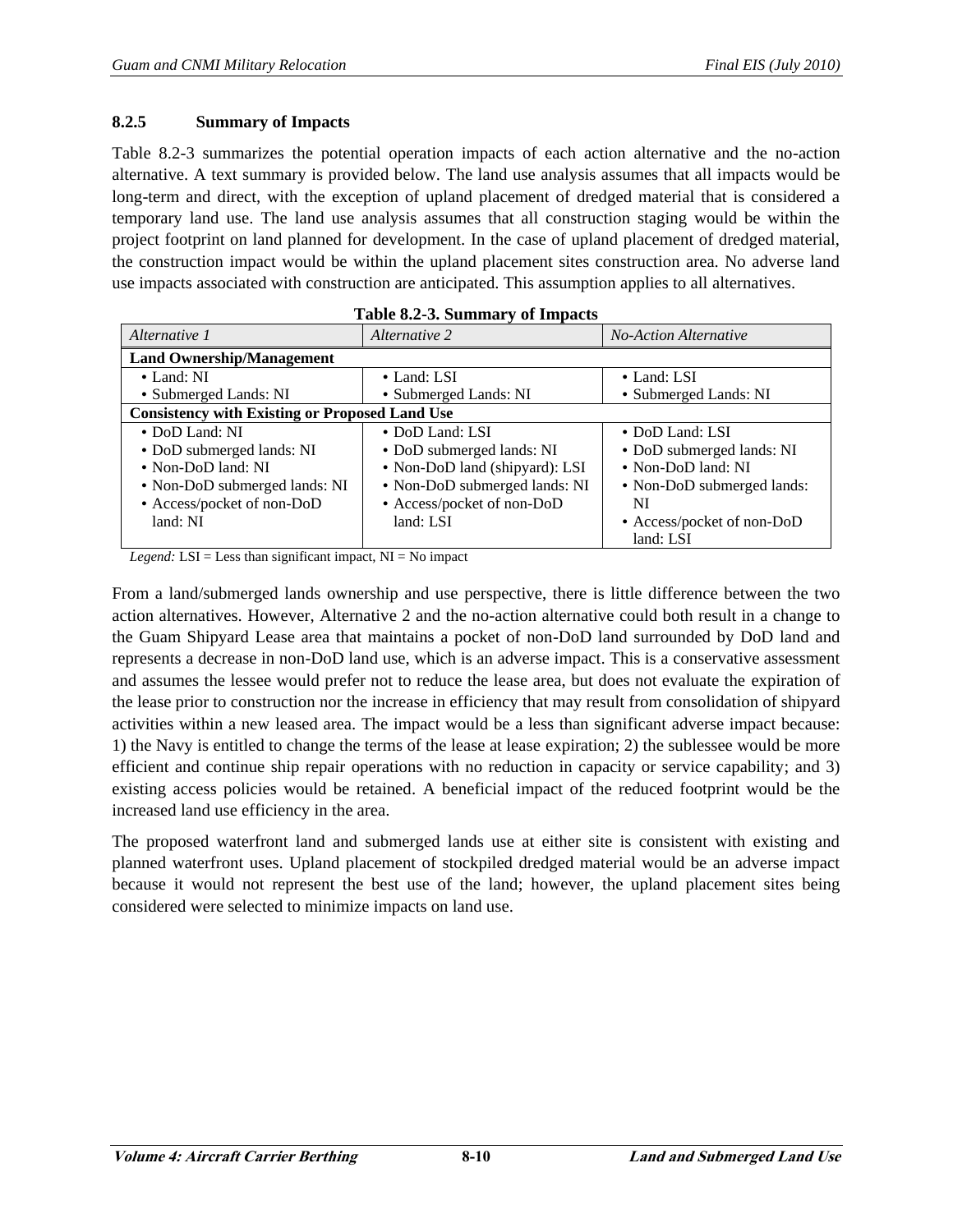## **8.2.5 Summary of Impacts**

Table 8.2-3 summarizes the potential operation impacts of each action alternative and the no-action alternative. A text summary is provided below. The land use analysis assumes that all impacts would be long-term and direct, with the exception of upland placement of dredged material that is considered a temporary land use. The land use analysis assumes that all construction staging would be within the project footprint on land planned for development. In the case of upland placement of dredged material, the construction impact would be within the upland placement sites construction area. No adverse land use impacts associated with construction are anticipated. This assumption applies to all alternatives.

| Alternative 1                                         | Alternative 2                                        | <b>No-Action Alternative</b> |  |  |  |  |
|-------------------------------------------------------|------------------------------------------------------|------------------------------|--|--|--|--|
| <b>Land Ownership/Management</b>                      |                                                      |                              |  |  |  |  |
| $\bullet$ Land: NI                                    | • Land: LSI<br>$\bullet$ Land: LSI                   |                              |  |  |  |  |
| • Submerged Lands: NI                                 | • Submerged Lands: NI                                | • Submerged Lands: NI        |  |  |  |  |
| <b>Consistency with Existing or Proposed Land Use</b> |                                                      |                              |  |  |  |  |
| • DoD Land: NI                                        | • DoD Land: LSI                                      | • DoD Land: LSI              |  |  |  |  |
| • DoD submerged lands: NI                             | • DoD submerged lands: NI                            | • DoD submerged lands: NI    |  |  |  |  |
| • Non-DoD land: NI                                    | • Non-DoD land (shipyard): LSI<br>• Non-DoD land: NI |                              |  |  |  |  |
| • Non-DoD submerged lands: NI                         | • Non-DoD submerged lands: NI                        | • Non-DoD submerged lands:   |  |  |  |  |
| • Access/pocket of non-DoD                            | • Access/pocket of non-DoD                           | NI                           |  |  |  |  |
| land: NI                                              | land: LSI                                            | • Access/pocket of non-DoD   |  |  |  |  |
|                                                       |                                                      | land: LSI                    |  |  |  |  |

|  |  | Table 8.2-3. Summary of Impacts |  |  |
|--|--|---------------------------------|--|--|
|--|--|---------------------------------|--|--|

*Legend:*  $LSI = Less than significant impact, NI = No impact$ 

From a land/submerged lands ownership and use perspective, there is little difference between the two action alternatives. However, Alternative 2 and the no-action alternative could both result in a change to the Guam Shipyard Lease area that maintains a pocket of non-DoD land surrounded by DoD land and represents a decrease in non-DoD land use, which is an adverse impact. This is a conservative assessment and assumes the lessee would prefer not to reduce the lease area, but does not evaluate the expiration of the lease prior to construction nor the increase in efficiency that may result from consolidation of shipyard activities within a new leased area. The impact would be a less than significant adverse impact because: 1) the Navy is entitled to change the terms of the lease at lease expiration; 2) the sublessee would be more efficient and continue ship repair operations with no reduction in capacity or service capability; and 3) existing access policies would be retained. A beneficial impact of the reduced footprint would be the increased land use efficiency in the area.

The proposed waterfront land and submerged lands use at either site is consistent with existing and planned waterfront uses. Upland placement of stockpiled dredged material would be an adverse impact because it would not represent the best use of the land; however, the upland placement sites being considered were selected to minimize impacts on land use.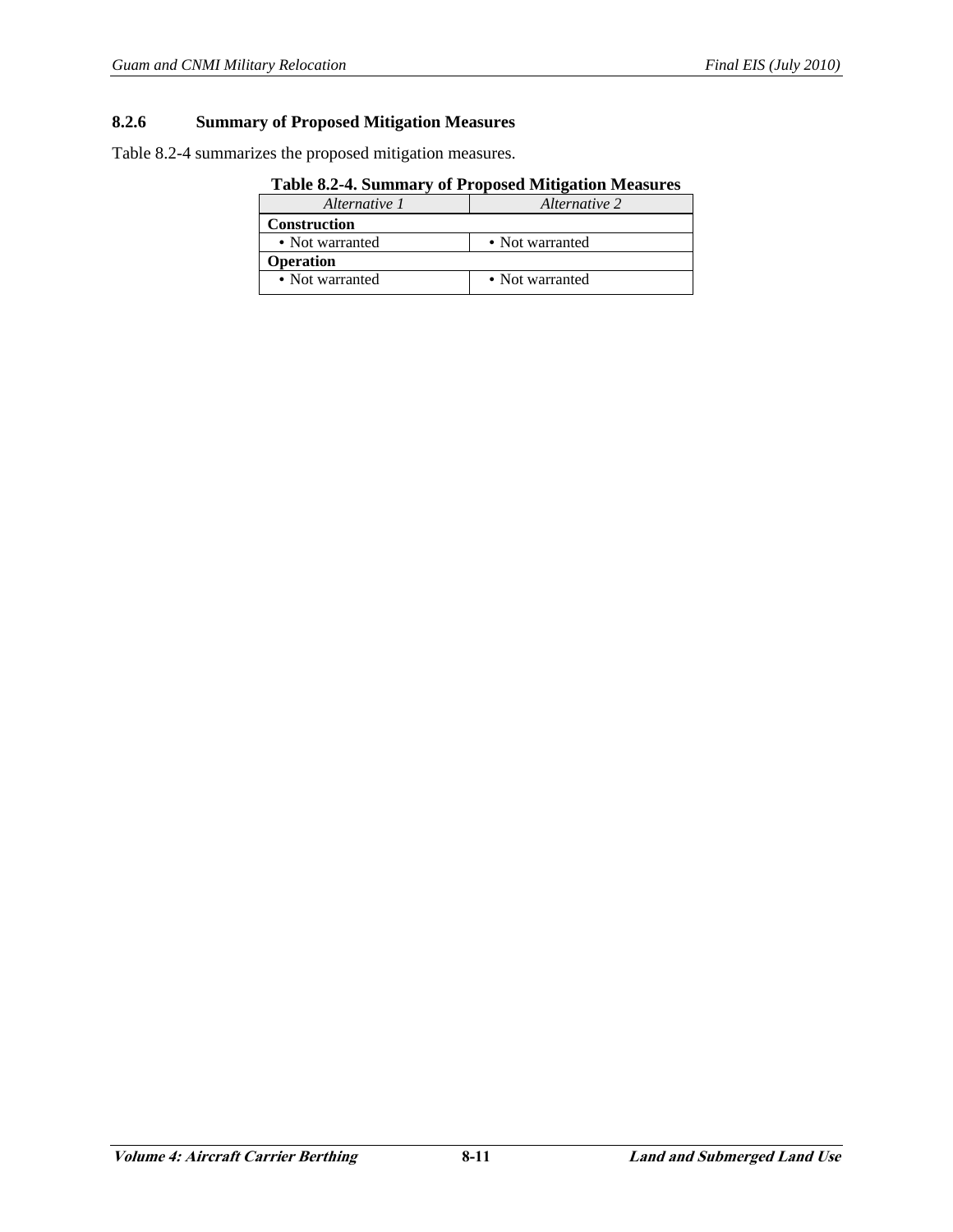## **8.2.6 Summary of Proposed Mitigation Measures**

Table 8.2-4 summarizes the proposed mitigation measures.

| Table 0.2 To building y of 1 roposed mitigation measures |                 |  |  |  |
|----------------------------------------------------------|-----------------|--|--|--|
| Alternative 1                                            | Alternative 2   |  |  |  |
| <b>Construction</b>                                      |                 |  |  |  |
| • Not warranted                                          | • Not warranted |  |  |  |
| <b>Operation</b>                                         |                 |  |  |  |
| • Not warranted                                          | • Not warranted |  |  |  |